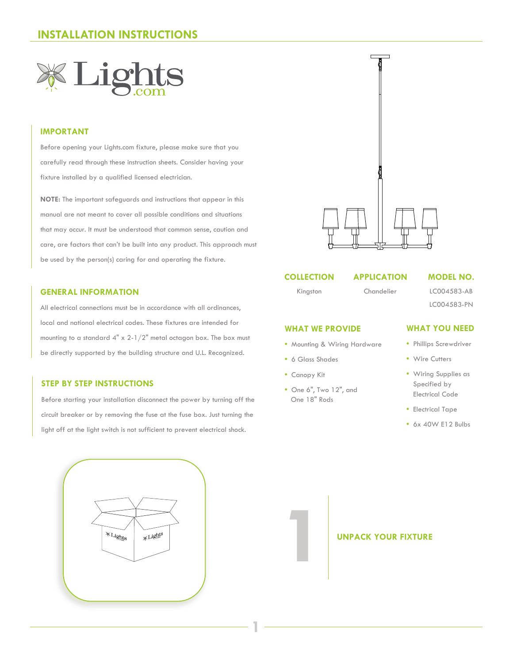

# **IMPORTANT**

Before opening your Lights.com fixture, please make sure that you carefully read through these instruction sheets. Consider having your fixture installed by a qualified licensed electrician.

**NOTE:** The important safeguards and instructions that appear in this manual are not meant to cover all possible conditions and situations that may occur. It must be understood that common sense, caution and care, are factors that can't be built into any product. This approach must be used by the person(s) caring for and operating the fixture.

### **GENERAL INFORMATION**

All electrical connections must be in accordance with all ordinances, local and national electrical codes. These fixtures are intended for mounting to a standard 4" x 2-1/2" metal octagon box. The box must be directly supported by the building structure and U.L. Recognized.

### **STEP BY STEP INSTRUCTIONS**

Before starting your installation disconnect the power by turning off the circuit breaker or by removing the fuse at the fuse box. Just turning the light off at the light switch is not sufficient to prevent electrical shock.





## **COLLECTION**

Kingston

# **APPLICATION**

Chandelier

### **MODEL NO.**

LC004583-AB LC004583-PN

### **WHAT WE PROVIDE**

- Mounting & Wiring Hardware
- 6 Glass Shades
- Canopy Kit

**1**

**•** One 6", Two 12", and One 18" Rods

## **WHAT YOU NEED**

- Phillips Screwdriver
- Wire Cutters
- Wiring Supplies as Specified by Electrical Code
- Electrical Tape
- 6x 40W E12 Bulbs

# **UNPACK YOUR FIXTURE**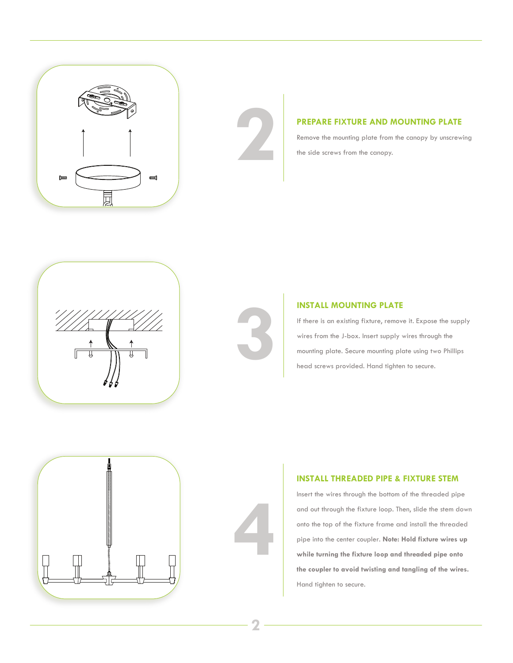



**PREPARE FIXTURE AND MOUNTING PLATE**<br>Remove the mounting plate from the canopy by unscrew<br>the side screws from the canopy. Remove the mounting plate from the canopy by unscrewing the side screws from the canopy.





### **INSTALL MOUNTING PLATE**

If there is an existing fixture, remove it. Expose the supply wires from the J-box. Insert supply wires through the **INSTALL MOUNTING PLATE**<br>
If there is an existing fixture, remove it. Expose the suppl<br>
wires from the J-box. Insert supply wires through the<br>
mounting plate. Secure mounting plate using two Phillips<br>
head screws provided. head screws provided. Hand tighten to secure.



# **INSTALL THREADED PIPE & FIXTURE STEM**

Insert the wires through the bottom of the threaded pipe and out through the fixture loop. Then, slide the stem down onto the top of the fixture frame and install the threaded pipe into the center coupler. **Note: Hold fixture wires up while turning the fixture loop and threaded pipe onto the coupler to avoid twisting and tangling of the wires.**  Hand tighten to secure.

**4**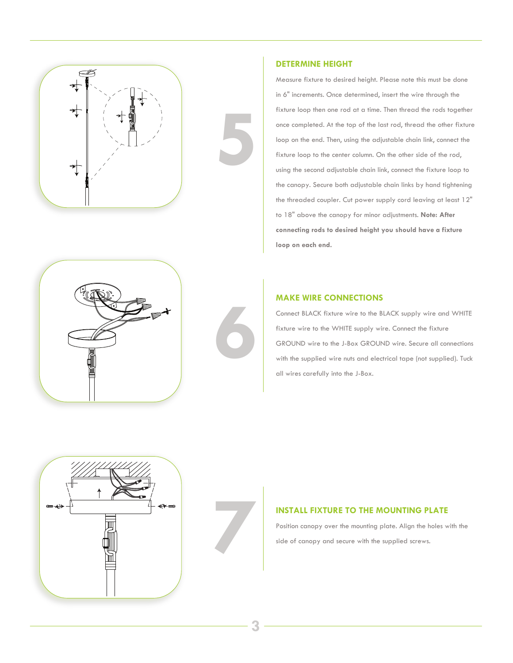

### **DETERMINE HEIGHT**

Measure fixture to desired height. Please note this must be done in 6" increments. Once determined, insert the wire through the fixture loop then one rod at a time. Then thread the rods together once completed. At the top of the last rod, thread the other fixture loop on the end. Then, using the adjustable chain link, connect the fixture loop to the center column. On the other side of the rod, using the second adjustable chain link, connect the fixture loop to the canopy. Secure both adjustable chain links by hand tightening the threaded coupler. Cut power supply cord leaving at least 12" to 18" above the canopy for minor adjustments. **Note: After connecting rods to desired height you should have a fixture loop on each end.** 



**5**

### **MAKE WIRE CONNECTIONS**

Connect BLACK fixture wire to the BLACK supply wire and WHITE fixture wire to the WHITE supply wire. Connect the fixture GROUND wire to the J-Box GROUND wire. Secure all connections with the supplied wire nuts and electrical tape (not supplied). Tuck all wires carefully into the J-Box.



**74 INSTALL FIXTURE TO THE MOUNTING PLATE**<br>Position canopy over the mounting plate. Align the holes w<br>side of canopy and secure with the supplied screws. Position canopy over the mounting plate. Align the holes with the side of canopy and secure with the supplied screws.